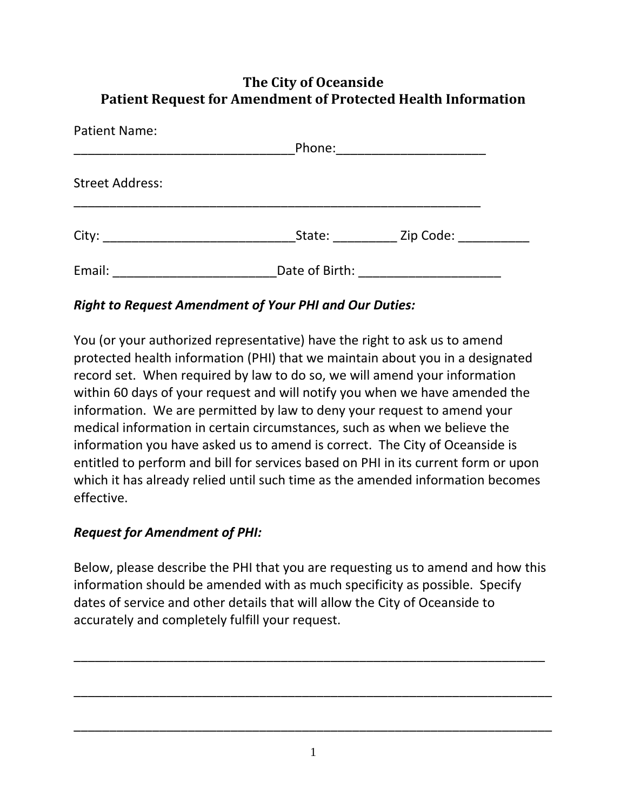## **The City of Oceanside Patient Request for Amendment of Protected Health Information**

| <b>Patient Name:</b>   | Phone: ________________________ |  |
|------------------------|---------------------------------|--|
| <b>Street Address:</b> |                                 |  |
|                        | State: Zip Code:                |  |
|                        |                                 |  |

## *Right to Request Amendment of Your PHI and Our Duties:*

You (or your authorized representative) have the right to ask us to amend protected health information (PHI) that we maintain about you in a designated record set. When required by law to do so, we will amend your information within 60 days of your request and will notify you when we have amended the information. We are permitted by law to deny your request to amend your medical information in certain circumstances, such as when we believe the information you have asked us to amend is correct. The City of Oceanside is entitled to perform and bill for services based on PHI in its current form or upon which it has already relied until such time as the amended information becomes effective.

## *Request for Amendment of PHI:*

Below, please describe the PHI that you are requesting us to amend and how this information should be amended with as much specificity as possible. Specify dates of service and other details that will allow the City of Oceanside to accurately and completely fulfill your request.

\_\_\_\_\_\_\_\_\_\_\_\_\_\_\_\_\_\_\_\_\_\_\_\_\_\_\_\_\_\_\_\_\_\_\_\_\_\_\_\_\_\_\_\_\_\_\_\_\_\_\_\_\_\_\_\_\_\_\_\_\_\_\_\_\_\_

\_\_\_\_\_\_\_\_\_\_\_\_\_\_\_\_\_\_\_\_\_\_\_\_\_\_\_\_\_\_\_\_\_\_\_\_\_\_\_\_\_\_\_\_\_\_\_\_\_\_\_\_\_\_\_\_\_\_\_\_\_\_\_\_\_\_\_

\_\_\_\_\_\_\_\_\_\_\_\_\_\_\_\_\_\_\_\_\_\_\_\_\_\_\_\_\_\_\_\_\_\_\_\_\_\_\_\_\_\_\_\_\_\_\_\_\_\_\_\_\_\_\_\_\_\_\_\_\_\_\_\_\_\_\_